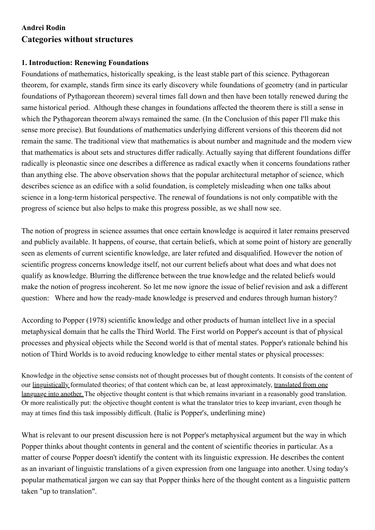# **Andrei Rodin Categories without structures**

## **1. Introduction: Renewing Foundations**

Foundations of mathematics, historically speaking, is the least stable part of this science. Pythagorean theorem, for example, stands firm since its early discovery while foundations of geometry (and in particular foundations of Pythagorean theorem) several times fall down and then have been totally renewed during the same historical period. Although these changes in foundations affected the theorem there is still a sense in which the Pythagorean theorem always remained the same. (In the Conclusion of this paper I'll make this sense more precise). But foundations of mathematics underlying different versions of this theorem did not remain the same. The traditional view that mathematics is about number and magnitude and the modern view that mathematics is about sets and structures differ radically. Actually saying that different foundations differ radically is pleonastic since one describes a difference as radical exactly when it concerns foundations rather than anything else. The above observation shows that the popular architectural metaphor of science, which describes science as an edifice with a solid foundation, is completely misleading when one talks about science in a long-term historical perspective. The renewal of foundations is not only compatible with the progress of science but also helps to make this progress possible, as we shall now see.

The notion of progress in science assumes that once certain knowledge is acquired it later remains preserved and publicly available. It happens, of course, that certain beliefs, which at some point of history are generally seen as elements of current scientific knowledge, are later refuted and disqualified. However the notion of scientific progress concerns knowledge itself, not our current beliefs about what does and what does not qualify as knowledge. Blurring the difference between the true knowledge and the related beliefs would make the notion of progress incoherent. So let me now ignore the issue of belief revision and ask a different question: Where and how the ready-made knowledge is preserved and endures through human history?

According to Popper (1978) scientific knowledge and other products of human intellect live in a special metaphysical domain that he calls the Third World. The First world on Popper's account is that of physical processes and physical objects while the Second world is that of mental states. Popper's rationale behind his notion of Third Worlds is to avoid reducing knowledge to either mental states or physical processes:

Knowledge in the objective sense consists not of thought processes but of thought contents. It consists of the content of our linguistically formulated theories; of that content which can be, at least approximately, translated from one language into another. The objective thought content is that which remains invariant in a reasonably good translation. Or more realistically put: the objective thought content is what the translator tries to keep invariant, even though he may at times find this task impossibly difficult. (Italic is Popper's, underlining mine)

What is relevant to our present discussion here is not Popper's metaphysical argument but the way in which Popper thinks about thought contents in general and the content of scientific theories in particular. As a matter of course Popper doesn't identify the content with its linguistic expression. He describes the content as an invariant of linguistic translations of a given expression from one language into another. Using today's popular mathematical jargon we can say that Popper thinks here of the thought content as a linguistic pattern taken "up to translation".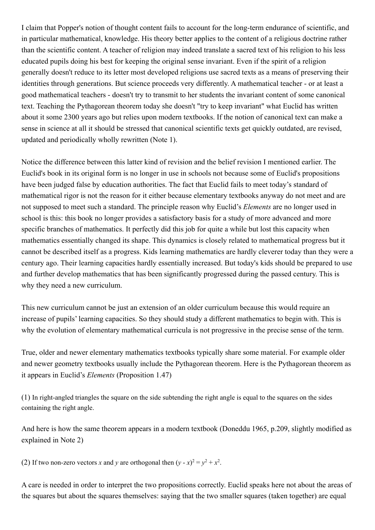I claim that Popper's notion of thought content fails to account for the long-term endurance of scientific, and in particular mathematical, knowledge. His theory better applies to the content of a religious doctrine rather than the scientific content. A teacher of religion may indeed translate a sacred text of his religion to his less educated pupils doing his best for keeping the original sense invariant. Even if the spirit of a religion generally doesn't reduce to its letter most developed religions use sacred texts as a means of preserving their identities through generations. But science proceeds very differently. A mathematical teacher - or at least a good mathematical teachers - doesn't try to transmit to her students the invariant content of some canonical text. Teaching the Pythagorean theorem today she doesn't "try to keep invariant" what Euclid has written about it some 2300 years ago but relies upon modern textbooks. If the notion of canonical text can make a sense in science at all it should be stressed that canonical scientific texts get quickly outdated, are revised, updated and periodically wholly rewritten (Note 1).

Notice the difference between this latter kind of revision and the belief revision I mentioned earlier. The Euclid's book in its original form is no longer in use in schools not because some of Euclid's propositions have been judged false by education authorities. The fact that Euclid fails to meet today's standard of mathematical rigor is not the reason for it either because elementary textbooks anyway do not meet and are not supposed to meet such a standard. The principle reason why Euclid's *Elements* are no longer used in school is this: this book no longer provides a satisfactory basis for a study of more advanced and more specific branches of mathematics. It perfectly did this job for quite a while but lost this capacity when mathematics essentially changed its shape. This dynamics is closely related to mathematical progress but it cannot be described itself as a progress. Kids learning mathematics are hardly cleverer today than they were a century ago. Their learning capacities hardly essentially increased. But today's kids should be prepared to use and further develop mathematics that has been significantly progressed during the passed century. This is why they need a new curriculum.

This new curriculum cannot be just an extension of an older curriculum because this would require an increase of pupils' learning capacities. So they should study a different mathematics to begin with. This is why the evolution of elementary mathematical curricula is not progressive in the precise sense of the term.

True, older and newer elementary mathematics textbooks typically share some material. For example older and newer geometry textbooks usually include the Pythagorean theorem. Here is the Pythagorean theorem as it appears in Euclid's *Elements* (Proposition 1.47)

(1) In right-angled triangles the square on the side subtending the right angle is equal to the squares on the sides containing the right angle.

And here is how the same theorem appears in a modern textbook (Doneddu 1965, p.209, slightly modified as explained in Note 2)

(2) If two non-zero vectors *x* and *y* are orthogonal then  $(y - x)^2 = y^2 + x^2$ .

A care is needed in order to interpret the two propositions correctly. Euclid speaks here not about the areas of the squares but about the squares themselves: saying that the two smaller squares (taken together) are equal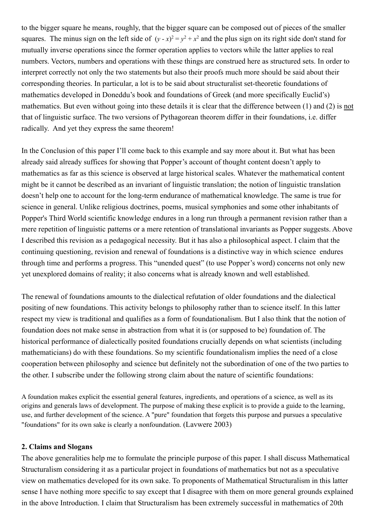to the bigger square he means, roughly, that the bigger square can be composed out of pieces of the smaller squares. The minus sign on the left side of  $(y - x)^2 = y^2 + x^2$  and the plus sign on its right side don't stand for mutually inverse operations since the former operation applies to vectors while the latter applies to real numbers. Vectors, numbers and operations with these things are construed here as structured sets. In order to interpret correctly not only the two statements but also their proofs much more should be said about their corresponding theories. In particular, a lot is to be said about structuralist set-theoretic foundations of mathematics developed in Doneddu's book and foundations of Greek (and more specifically Euclid's) mathematics. But even without going into these details it is clear that the difference between (1) and (2) is not that of linguistic surface. The two versions of Pythagorean theorem differ in their foundations, i.e. differ radically. And yet they express the same theorem!

In the Conclusion of this paper I'll come back to this example and say more about it. But what has been already said already suffices for showing that Popper's account of thought content doesn't apply to mathematics as far as this science is observed at large historical scales. Whatever the mathematical content might be it cannot be described as an invariant of linguistic translation; the notion of linguistic translation doesn't help one to account for the long-term endurance of mathematical knowledge. The same is true for science in general. Unlike religious doctrines, poems, musical symphonies and some other inhabitants of Popper's Third World scientific knowledge endures in a long run through a permanent revision rather than a mere repetition of linguistic patterns or a mere retention of translational invariants as Popper suggests. Above I described this revision as a pedagogical necessity. But it has also a philosophical aspect. I claim that the continuing questioning, revision and renewal of foundations is a distinctive way in which science endures through time and performs a progress. This "unended quest" (to use Popper's word) concerns not only new yet unexplored domains of reality; it also concerns what is already known and well established.

The renewal of foundations amounts to the dialectical refutation of older foundations and the dialectical positing of new foundations. This activity belongs to philosophy rather than to science itself. In this latter respect my view is traditional and qualifies as a form of foundationalism. But I also think that the notion of foundation does not make sense in abstraction from what it is (or supposed to be) foundation of. The historical performance of dialectically posited foundations crucially depends on what scientists (including mathematicians) do with these foundations. So my scientific foundationalism implies the need of a close cooperation between philosophy and science but definitely not the subordination of one of the two parties to the other. I subscribe under the following strong claim about the nature of scientific foundations:

A foundation makes explicit the essential general features, ingredients, and operations of a science, as well as its origins and generals laws of development. The purpose of making these explicit is to provide a guide to the learning, use, and further development of the science. A "pure" foundation that forgets this purpose and pursues a speculative "foundations" for its own sake is clearly a nonfoundation. (Lavwere 2003)

#### **2. Claims and Slogans**

The above generalities help me to formulate the principle purpose of this paper. I shall discuss Mathematical Structuralism considering it as a particular project in foundations of mathematics but not as a speculative view on mathematics developed for its own sake. To proponents of Mathematical Structuralism in this latter sense I have nothing more specific to say except that I disagree with them on more general grounds explained in the above Introduction. I claim that Structuralism has been extremely successful in mathematics of 20th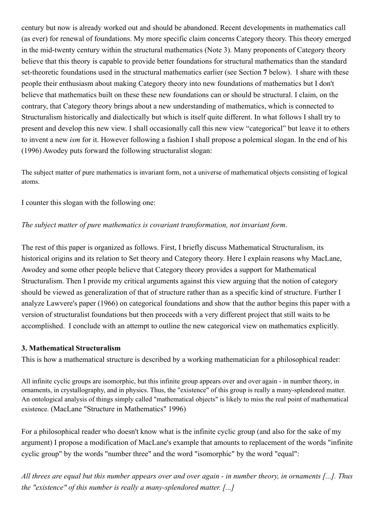century but now is already worked out and should be abandoned. Recent developments in mathematics call (as ever) for renewal of foundations. My more specific claim concerns Category theory. This theory emerged in the mid-twenty century within the structural mathematics (Note 3). Many proponents of Category theory believe that this theory is capable to provide better foundations for structural mathematics than the standard set-theoretic foundations used in the structural mathematics earlier (see Section **7** below). I share with these people their enthusiasm about making Category theory into new foundations of mathematics but I don't believe that mathematics built on these these new foundations can or should be structural. I claim, on the contrary, that Category theory brings about a new understanding of mathematics, which is connected to Structuralism historically and dialectically but which is itself quite different. In what follows I shall try to present and develop this new view. I shall occasionally call this new view "categorical" but leave it to others to invent a new *ism* for it. However following a fashion I shall propose a polemical slogan. In the end of his (1996) Awodey puts forward the following structuralist slogan:

The subject matter of pure mathematics is invariant form, not a universe of mathematical objects consisting of logical atoms.

I counter this slogan with the following one:

# *The subject matter of pure mathematics is covariant transformation, not invariant form*.

The rest of this paper is organized as follows. First, I briefly discuss Mathematical Structuralism, its historical origins and its relation to Set theory and Category theory. Here I explain reasons why MacLane, Awodey and some other people believe that Category theory provides a support for Mathematical Structuralism. Then I provide my critical arguments against this view arguing that the notion of category should be viewed as generalization of that of structure rather than as a specific kind of structure. Further I analyze Lawvere's paper (1966) on categorical foundations and show that the author begins this paper with a version of structuralist foundations but then proceeds with a very different project that still waits to be accomplished. I conclude with an attempt to outline the new categorical view on mathematics explicitly.

## **3. Mathematical Structuralism**

This is how a mathematical structure is described by a working mathematician for a philosophical reader:

All infinite cyclic groups are isomorphic, but this infinite group appears over and over again - in number theory, in ornaments, in crystallography, and in physics. Thus, the "existence" of this group is really a many-splendored matter. An ontological analysis of things simply called "mathematical objects" is likely to miss the real point of mathematical existence. (MacLane "Structure in Mathematics" 1996)

For a philosophical reader who doesn't know what is the infinite cyclic group (and also for the sake of my argument) I propose a modification of MacLane's example that amounts to replacement of the words "infinite cyclic group" by the words "number three" and the word "isomorphic" by the word "equal":

*All threes are equal but this number appears over and over again - in number theory, in ornaments [...]. Thus the "existence" of this number is really a many-splendored matter. [...]*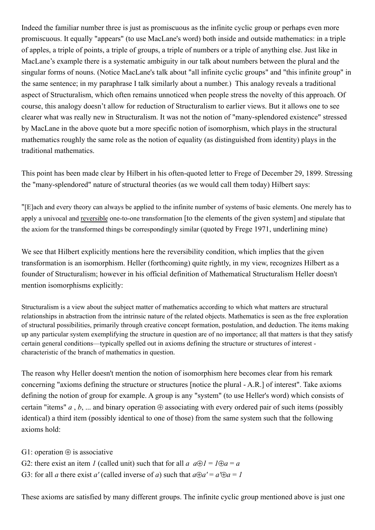Indeed the familiar number three is just as promiscuous as the infinite cyclic group or perhaps even more promiscuous. It equally "appears" (to use MacLane's word) both inside and outside mathematics: in a triple of apples, a triple of points, a triple of groups, a triple of numbers or a triple of anything else. Just like in MacLane's example there is a systematic ambiguity in our talk about numbers between the plural and the singular forms of nouns. (Notice MacLane's talk about "all infinite cyclic groups" and "this infinite group" in the same sentence; in my paraphrase I talk similarly about a number.) This analogy reveals a traditional aspect of Structuralism, which often remains unnoticed when people stress the novelty of this approach. Of course, this analogy doesn't allow for reduction of Structuralism to earlier views. But it allows one to see clearer what was really new in Structuralism. It was not the notion of "many-splendored existence" stressed by MacLane in the above quote but a more specific notion of isomorphism, which plays in the structural mathematics roughly the same role as the notion of equality (as distinguished from identity) plays in the traditional mathematics.

This point has been made clear by Hilbert in his often-quoted letter to Frege of December 29, 1899. Stressing the "many-splendored" nature of structural theories (as we would call them today) Hilbert says:

"[E]ach and every theory can always be applied to the infinite number of systems of basic elements. One merely has to apply a univocal and reversible one-to-one transformation [to the elements of the given system] and stipulate that the axiom for the transformed things be correspondingly similar (quoted by Frege 1971, underlining mine)

We see that Hilbert explicitly mentions here the reversibility condition, which implies that the given transformation is an isomorphism. Heller (forthcoming) quite rightly, in my view, recognizes Hilbert as a founder of Structuralism; however in his official definition of Mathematical Structuralism Heller doesn't mention isomorphisms explicitly:

Structuralism is a view about the subject matter of mathematics according to which what matters are structural relationships in abstraction from the intrinsic nature of the related objects. Mathematics is seen as the free exploration of structural possibilities, primarily through creative concept formation, postulation, and deduction. The items making up any particular system exemplifying the structure in question are of no importance; all that matters is that they satisfy certain general conditions—typically spelled out in axioms defining the structure or structures of interest characteristic of the branch of mathematics in question.

The reason why Heller doesn't mention the notion of isomorphism here becomes clear from his remark concerning "axioms defining the structure or structures [notice the plural - A.R.] of interest". Take axioms defining the notion of group for example. A group is any "system" (to use Heller's word) which consists of certain "items" *a*, *b*, ... and binary operation  $\oplus$  associating with every ordered pair of such items (possibly identical) a third item (possibly identical to one of those) from the same system such that the following axioms hold:

G1: operation  $\oplus$  is associative

G2: there exist an item *1* (called unit) such that for all  $a \ a \oplus 1 = 1 \oplus a = a$ 

G3: for all *a* there exist *a'* (called inverse of *a*) such that  $a \oplus a' = a' \oplus a = 1$ 

These axioms are satisfied by many different groups. The infinite cyclic group mentioned above is just one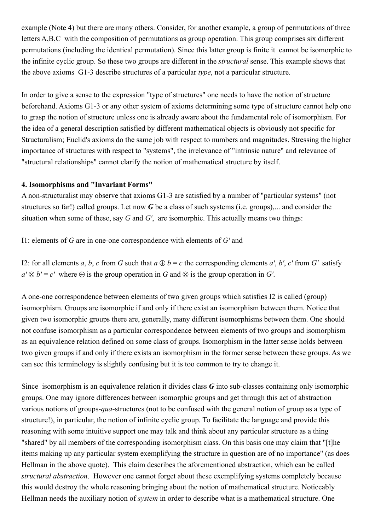example (Note 4) but there are many others. Consider, for another example, a group of permutations of three letters A,B,C with the composition of permutations as group operation. This group comprises six different permutations (including the identical permutation). Since this latter group is finite it cannot be isomorphic to the infinite cyclic group. So these two groups are different in the *structural* sense. This example shows that the above axioms G1-3 describe structures of a particular *type*, not a particular structure.

In order to give a sense to the expression "type of structures" one needs to have the notion of structure beforehand. Axioms G1-3 or any other system of axioms determining some type of structure cannot help one to grasp the notion of structure unless one is already aware about the fundamental role of isomorphism. For the idea of a general description satisfied by different mathematical objects is obviously not specific for Structuralism; Euclid's axioms do the same job with respect to numbers and magnitudes. Stressing the higher importance of structures with respect to "systems", the irrelevance of "intrinsic nature" and relevance of "structural relationships" cannot clarify the notion of mathematical structure by itself.

#### **4. Isomorphisms and "Invariant Forms"**

A non-structuralist may observe that axioms G1-3 are satisfied by a number of "particular systems" (not structures so far!) called groups. Let now *G* be a class of such systems (i.e. groups),... and consider the situation when some of these, say *G* and *G'*, are isomorphic. This actually means two things:

I1: elements of *G* are in one-one correspondence with elements of *G'* and

I2: for all elements *a*, *b*, *c* from *G* such that  $a \oplus b = c$  the corresponding elements *a'*, *b'*, *c'* from *G'* satisfy  $a' \otimes b' = c'$  where  $\oplus$  is the group operation in *G* and  $\otimes$  is the group operation in *G'*.

A one-one correspondence between elements of two given groups which satisfies I2 is called (group) isomorphism. Groups are isomorphic if and only if there exist an isomorphism between them. Notice that given two isomorphic groups there are, generally, many different isomorphisms between them. One should not confuse isomorphism as a particular correspondence between elements of two groups and isomorphism as an equivalence relation defined on some class of groups. Isomorphism in the latter sense holds between two given groups if and only if there exists an isomorphism in the former sense between these groups. As we can see this terminology is slightly confusing but it is too common to try to change it.

Since isomorphism is an equivalence relation it divides class *G* into sub-classes containing only isomorphic groups. One may ignore differences between isomorphic groups and get through this act of abstraction various notions of groups-*qua*-structures (not to be confused with the general notion of group as a type of structure!), in particular, the notion of infinite cyclic group. To facilitate the language and provide this reasoning with some intuitive support one may talk and think about any particular structure as a thing "shared" by all members of the corresponding isomorphism class. On this basis one may claim that "[t]he items making up any particular system exemplifying the structure in question are of no importance" (as does Hellman in the above quote). This claim describes the aforementioned abstraction, which can be called *structural abstraction*. However one cannot forget about these exemplifying systems completely because this would destroy the whole reasoning bringing about the notion of mathematical structure. Noticeably Hellman needs the auxiliary notion of *system* in order to describe what is a mathematical structure. One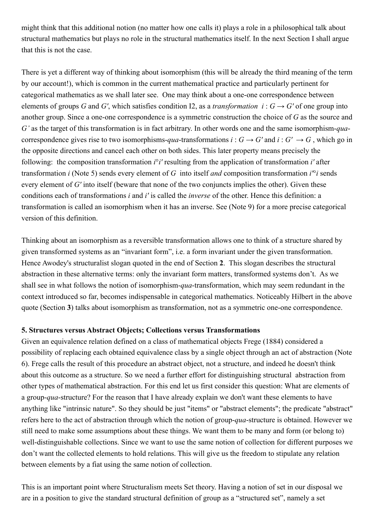might think that this additional notion (no matter how one calls it) plays a role in a philosophical talk about structural mathematics but plays no role in the structural mathematics itself. In the next Section I shall argue that this is not the case.

There is yet a different way of thinking about isomorphism (this will be already the third meaning of the term by our account!), which is common in the current mathematical practice and particularly pertinent for categorical mathematics as we shall later see. One may think about a one-one correspondence between elements of groups *G* and *G'*, which satisfies condition I2, as a *transformation*  $i: G \rightarrow G'$  of one group into another group. Since a one-one correspondence is a symmetric construction the choice of *G* as the source and *G'* as the target of this transformation is in fact arbitrary. In other words one and the same isomorphism-*qua*correspondence gives rise to two isomorphisms-*qua*-transformations  $i: G \to G'$  and  $i: G' \to G$ , which go in the opposite directions and cancel each other on both sides. This later property means precisely the following: the composition transformation *i*°*i'* resulting from the application of transformation *i'* after transformation *i* (Note 5) sends every element of *G* into itself *and* composition transformation *i'*°*i* sends every element of *G'* into itself (beware that none of the two conjuncts implies the other). Given these conditions each of transformations *i* and *i'* is called the *inverse* of the other. Hence this definition: a transformation is called an isomorphism when it has an inverse. See (Note 9) for a more precise categorical version of this definition.

Thinking about an isomorphism as a reversible transformation allows one to think of a structure shared by given transformed systems as an "invariant form", i.e. a form invariant under the given transformation. Hence Awodey's structuralist slogan quoted in the end of Section **2**. This slogan describes the structural abstraction in these alternative terms: only the invariant form matters, transformed systems don't. As we shall see in what follows the notion of isomorphism-*qua*-transformation, which may seem redundant in the context introduced so far, becomes indispensable in categorical mathematics. Noticeably Hilbert in the above quote (Section **3**) talks about isomorphism as transformation, not as a symmetric one-one correspondence.

#### **5. Structures versus Abstract Objects; Collections versus Transformations**

Given an equivalence relation defined on a class of mathematical objects Frege (1884) considered a possibility of replacing each obtained equivalence class by a single object through an act of abstraction (Note 6). Frege calls the result of this procedure an abstract object, not a structure, and indeed he doesn't think about this outcome as a structure. So we need a further effort for distinguishing structural abstraction from other types of mathematical abstraction. For this end let us first consider this question: What are elements of a group-*qua*-structure? For the reason that I have already explain we don't want these elements to have anything like "intrinsic nature". So they should be just "items" or "abstract elements"; the predicate "abstract" refers here to the act of abstraction through which the notion of group-*qua*-structure is obtained. However we still need to make some assumptions about these things. We want them to be many and form (or belong to) well-distinguishable collections. Since we want to use the same notion of collection for different purposes we don't want the collected elements to hold relations. This will give us the freedom to stipulate any relation between elements by a fiat using the same notion of collection.

This is an important point where Structuralism meets Set theory. Having a notion of set in our disposal we are in a position to give the standard structural definition of group as a "structured set", namely a set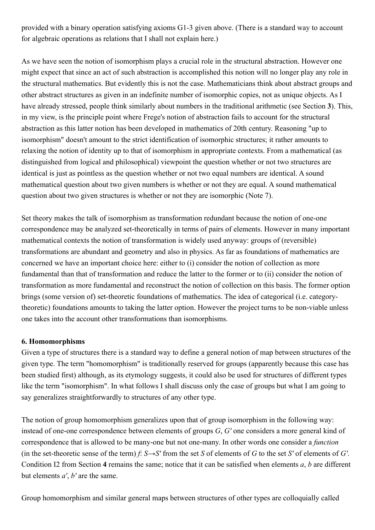provided with a binary operation satisfying axioms G1-3 given above. (There is a standard way to account for algebraic operations as relations that I shall not explain here.)

As we have seen the notion of isomorphism plays a crucial role in the structural abstraction. However one might expect that since an act of such abstraction is accomplished this notion will no longer play any role in the structural mathematics. But evidently this is not the case. Mathematicians think about abstract groups and other abstract structures as given in an indefinite number of isomorphic copies, not as unique objects. As I have already stressed, people think similarly about numbers in the traditional arithmetic (see Section **3**). This, in my view, is the principle point where Frege's notion of abstraction fails to account for the structural abstraction as this latter notion has been developed in mathematics of 20th century. Reasoning "up to isomorphism" doesn't amount to the strict identification of isomorphic structures; it rather amounts to relaxing the notion of identity up to that of isomorphism in appropriate contexts. From a mathematical (as distinguished from logical and philosophical) viewpoint the question whether or not two structures are identical is just as pointless as the question whether or not two equal numbers are identical. A sound mathematical question about two given numbers is whether or not they are equal. A sound mathematical question about two given structures is whether or not they are isomorphic (Note 7).

Set theory makes the talk of isomorphism as transformation redundant because the notion of one-one correspondence may be analyzed set-theoretically in terms of pairs of elements. However in many important mathematical contexts the notion of transformation is widely used anyway: groups of (reversible) transformations are abundant and geometry and also in physics. As far as foundations of mathematics are concerned we have an important choice here: either to (i) consider the notion of collection as more fundamental than that of transformation and reduce the latter to the former or to (ii) consider the notion of transformation as more fundamental and reconstruct the notion of collection on this basis. The former option brings (some version of) set-theoretic foundations of mathematics. The idea of categorical (i.e. categorytheoretic) foundations amounts to taking the latter option. However the project turns to be non-viable unless one takes into the account other transformations than isomorphisms.

## **6. Homomorphisms**

Given a type of structures there is a standard way to define a general notion of map between structures of the given type. The term "homomorphism" is traditionally reserved for groups (apparently because this case has been studied first) although, as its etymology suggests, it could also be used for structures of different types like the term "isomorphism". In what follows I shall discuss only the case of groups but what I am going to say generalizes straightforwardly to structures of any other type.

The notion of group homomorphism generalizes upon that of group isomorphism in the following way: instead of one-one correspondence between elements of groups *G*, *G'* one considers a more general kind of correspondence that is allowed to be many-one but not one-many. In other words one consider a *function* (in the set-theoretic sense of the term)  $f: S \rightarrow S'$  from the set *S* of elements of *G* to the set *S'* of elements of *G'*. Condition I2 from Section **4** remains the same; notice that it can be satisfied when elements *a*, *b* are different but elements *a'*, *b'* are the same.

Group homomorphism and similar general maps between structures of other types are colloquially called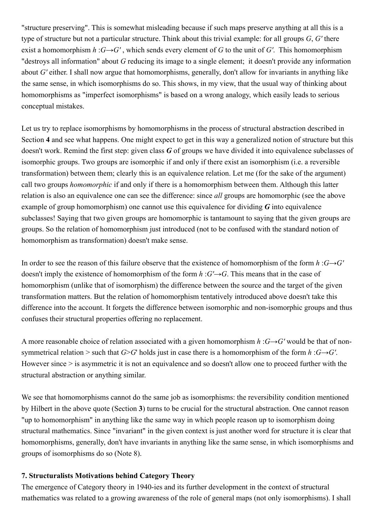"structure preserving". This is somewhat misleading because if such maps preserve anything at all this is a type of structure but not a particular structure. Think about this trivial example: for all groups *G*, *G'* there exist a homomorphism  $h: G \rightarrow G'$ , which sends every element of *G* to the unit of *G'*. This homomorphism "destroys all information" about *G* reducing its image to a single element; it doesn't provide any information about *G'* either. I shall now argue that homomorphisms, generally, don't allow for invariants in anything like the same sense, in which isomorphisms do so. This shows, in my view, that the usual way of thinking about homomorphisms as "imperfect isomorphisms" is based on a wrong analogy, which easily leads to serious conceptual mistakes.

Let us try to replace isomorphisms by homomorphisms in the process of structural abstraction described in Section **4** and see what happens. One might expect to get in this way a generalized notion of structure but this doesn't work. Remind the first step: given class *G* of groups we have divided it into equivalence subclasses of isomorphic groups. Two groups are isomorphic if and only if there exist an isomorphism (i.e. a reversible transformation) between them; clearly this is an equivalence relation. Let me (for the sake of the argument) call two groups *homomorphic* if and only if there is a homomorphism between them. Although this latter relation is also an equivalence one can see the difference: since *all* groups are homomorphic (see the above example of group homomorphism) one cannot use this equivalence for dividing *G* into equivalence subclasses! Saying that two given groups are homomorphic is tantamount to saying that the given groups are groups. So the relation of homomorphism just introduced (not to be confused with the standard notion of homomorphism as transformation) doesn't make sense.

In order to see the reason of this failure observe that the existence of homomorphism of the form  $h : G \rightarrow G'$ doesn't imply the existence of homomorphism of the form  $h: G' \rightarrow G$ . This means that in the case of homomorphism (unlike that of isomorphism) the difference between the source and the target of the given transformation matters. But the relation of homomorphism tentatively introduced above doesn't take this difference into the account. It forgets the difference between isomorphic and non-isomorphic groups and thus confuses their structural properties offering no replacement.

A more reasonable choice of relation associated with a given homomorphism  $h: G \rightarrow G'$  would be that of nonsymmetrical relation > such that  $G > G'$  holds just in case there is a homomorphism of the form  $h : G \rightarrow G'$ . However since > is asymmetric it is not an equivalence and so doesn't allow one to proceed further with the structural abstraction or anything similar.

We see that homomorphisms cannot do the same job as isomorphisms: the reversibility condition mentioned by Hilbert in the above quote (Section **3**) turns to be crucial for the structural abstraction. One cannot reason "up to homomorphism" in anything like the same way in which people reason up to isomorphism doing structural mathematics. Since "invariant" in the given context is just another word for structure it is clear that homomorphisms, generally, don't have invariants in anything like the same sense, in which isomorphisms and groups of isomorphisms do so (Note 8).

## **7. Structuralists Motivations behind Category Theory**

The emergence of Category theory in 1940-ies and its further development in the context of structural mathematics was related to a growing awareness of the role of general maps (not only isomorphisms). I shall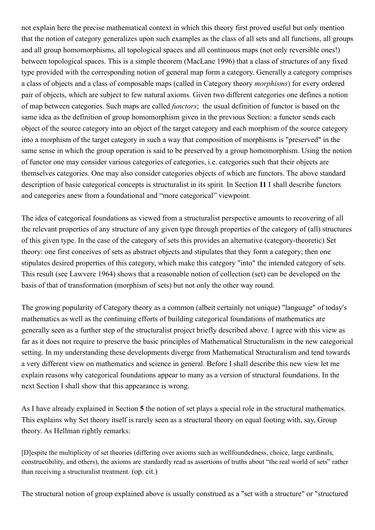not explain here the precise mathematical context in which this theory first proved useful but only mention that the notion of category generalizes upon such examples as the class of all sets and all functions, all groups and all group homomorphisms, all topological spaces and all continuous maps (not only reversible ones!) between topological spaces. This is a simple theorem (MacLane 1996) that a class of structures of any fixed type provided with the corresponding notion of general map form a category. Generally a category comprises a class of objects and a class of composable maps (called in Category theory *morphisms*) for every ordered pair of objects, which are subject to few natural axioms. Given two different categories one defines a notion of map between categories. Such maps are called *functors*; the usual definition of functor is based on the same idea as the definition of group homomorphism given in the previous Section: a functor sends each object of the source category into an object of the target category and each morphism of the source category into a morphism of the target category in such a way that composition of morphisms is "preserved" in the same sense in which the group operation is said to be preserved by a group homomorphism. Using the notion of functor one may consider various categories of categories, i.e. categories such that their objects are themselves categories. One may also consider categories objects of which are functors. The above standard description of basic categorical concepts is structuralist in its spirit. In Section **11** I shall describe functors and categories anew from a foundational and "more categorical" viewpoint.

The idea of categorical foundations as viewed from a structuralist perspective amounts to recovering of all the relevant properties of any structure of any given type through properties of the category of (all) structures of this given type. In the case of the category of sets this provides an alternative (category-theoretic) Set theory: one first conceives of sets as abstract objects and stipulates that they form a category; then one stipulates desired properties of this category, which make this category "into" the intended category of sets. This result (see Lawvere 1964) shows that a reasonable notion of collection (set) can be developed on the basis of that of transformation (morphism of sets) but not only the other way round.

The growing popularity of Category theory as a common (albeit certainly not unique) "language" of today's mathematics as well as the continuing efforts of building categorical foundations of mathematics are generally seen as a further step of the structuralist project briefly described above. I agree with this view as far as it does not require to preserve the basic principles of Mathematical Structuralism in the new categorical setting. In my understanding these developments diverge from Mathematical Structuralism and tend towards a very different view on mathematics and science in general. Before I shall describe this new view let me explain reasons why categorical foundations appear to many as a version of structural foundations. In the next Section I shall show that this appearance is wrong.

As I have already explained in Section **5** the notion of set plays a special role in the structural mathematics. This explains why Set theory itself is rarely seen as a structural theory on equal footing with, say, Group theory. As Hellman rightly remarks:

[D]espite the multiplicity of set theories (differing over axioms such as wellfoundedness, choice, large cardinals, constructibility, and others), the axioms are standardly read as assertions of truths about "the real world of sets" rather than receiving a structuralist treatment. (op. cit.)

The structural notion of group explained above is usually construed as a "set with a structure" or "structured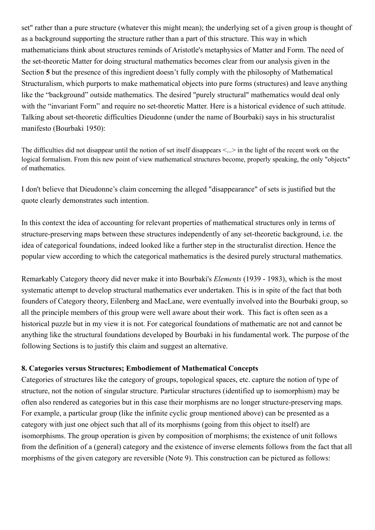set" rather than a pure structure (whatever this might mean); the underlying set of a given group is thought of as a background supporting the structure rather than a part of this structure. This way in which mathematicians think about structures reminds of Aristotle's metaphysics of Matter and Form. The need of the set-theoretic Matter for doing structural mathematics becomes clear from our analysis given in the Section **5** but the presence of this ingredient doesn't fully comply with the philosophy of Mathematical Structuralism, which purports to make mathematical objects into pure forms (structures) and leave anything like the "background" outside mathematics. The desired "purely structural" mathematics would deal only with the "invariant Form" and require no set-theoretic Matter. Here is a historical evidence of such attitude. Talking about set-theoretic difficulties Dieudonne (under the name of Bourbaki) says in his structuralist manifesto (Bourbaki 1950):

The difficulties did not disappear until the notion of set itself disappears  $\lt$   $\gt$  in the light of the recent work on the logical formalism. From this new point of view mathematical structures become, properly speaking, the only "objects" of mathematics.

I don't believe that Dieudonne's claim concerning the alleged "disappearance" of sets is justified but the quote clearly demonstrates such intention.

In this context the idea of accounting for relevant properties of mathematical structures only in terms of structure-preserving maps between these structures independently of any set-theoretic background, i.e. the idea of categorical foundations, indeed looked like a further step in the structuralist direction. Hence the popular view according to which the categorical mathematics is the desired purely structural mathematics.

Remarkably Category theory did never make it into Bourbaki's *Elements* (1939 - 1983), which is the most systematic attempt to develop structural mathematics ever undertaken. This is in spite of the fact that both founders of Category theory, Eilenberg and MacLane, were eventually involved into the Bourbaki group, so all the principle members of this group were well aware about their work. This fact is often seen as a historical puzzle but in my view it is not. For categorical foundations of mathematic are not and cannot be anything like the structural foundations developed by Bourbaki in his fundamental work. The purpose of the following Sections is to justify this claim and suggest an alternative.

# **8. Categories versus Structures; Embodiement of Mathematical Concepts**

Categories of structures like the category of groups, topological spaces, etc. capture the notion of type of structure, not the notion of singular structure. Particular structures (identified up to isomorphism) may be often also rendered as categories but in this case their morphisms are no longer structure-preserving maps. For example, a particular group (like the infinite cyclic group mentioned above) can be presented as a category with just one object such that all of its morphisms (going from this object to itself) are isomorphisms. The group operation is given by composition of morphisms; the existence of unit follows from the definition of a (general) category and the existence of inverse elements follows from the fact that all morphisms of the given category are reversible (Note 9). This construction can be pictured as follows: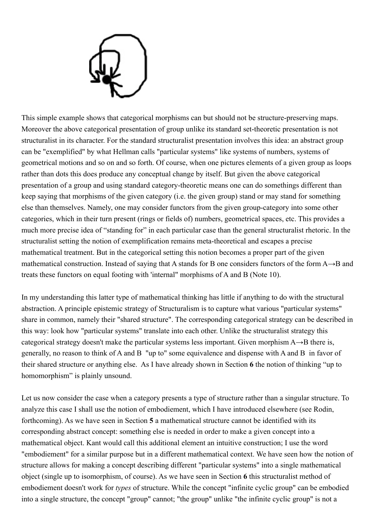

This simple example shows that categorical morphisms can but should not be structure-preserving maps. Moreover the above categorical presentation of group unlike its standard set-theoretic presentation is not structuralist in its character. For the standard structuralist presentation involves this idea: an abstract group can be "exemplified" by what Hellman calls "particular systems" like systems of numbers, systems of geometrical motions and so on and so forth. Of course, when one pictures elements of a given group as loops rather than dots this does produce any conceptual change by itself. But given the above categorical presentation of a group and using standard category-theoretic means one can do somethings different than keep saying that morphisms of the given category (i.e. the given group) stand or may stand for something else than themselves. Namely, one may consider functors from the given group-category into some other categories, which in their turn present (rings or fields of) numbers, geometrical spaces, etc. This provides a much more precise idea of "standing for" in each particular case than the general structuralist rhetoric. In the structuralist setting the notion of exemplification remains meta-theoretical and escapes a precise mathematical treatment. But in the categorical setting this notion becomes a proper part of the given mathematical construction. Instead of saying that A stands for B one considers functors of the form  $A \rightarrow B$  and treats these functors on equal footing with 'internal" morphisms of A and B (Note 10).

In my understanding this latter type of mathematical thinking has little if anything to do with the structural abstraction. A principle epistemic strategy of Structuralism is to capture what various "particular systems" share in common, namely their "shared structure". The corresponding categorical strategy can be described in this way: look how "particular systems" translate into each other. Unlike the structuralist strategy this categorical strategy doesn't make the particular systems less important. Given morphism  $A \rightarrow B$  there is, generally, no reason to think of A and B "up to" some equivalence and dispense with A and B in favor of their shared structure or anything else. As I have already shown in Section **6** the notion of thinking "up to homomorphism" is plainly unsound.

Let us now consider the case when a category presents a type of structure rather than a singular structure. To analyze this case I shall use the notion of embodiement, which I have introduced elsewhere (see Rodin, forthcoming). As we have seen in Section **5** a mathematical structure cannot be identified with its corresponding abstract concept: something else is needed in order to make a given concept into a mathematical object. Kant would call this additional element an intuitive construction; I use the word "embodiement" for a similar purpose but in a different mathematical context. We have seen how the notion of structure allows for making a concept describing different "particular systems" into a single mathematical object (single up to isomorphism, of course). As we have seen in Section **6** this structuralist method of embodiement doesn't work for *types* of structure. While the concept "infinite cyclic group" can be embodied into a single structure, the concept "group" cannot; "the group" unlike "the infinite cyclic group" is not a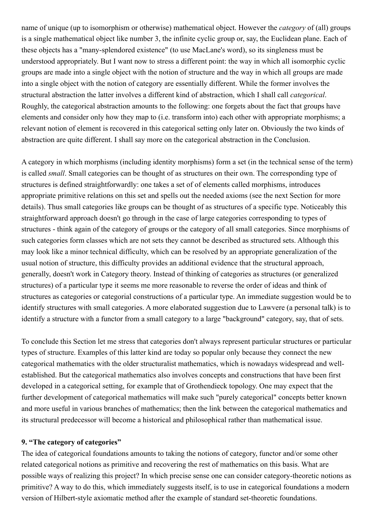name of unique (up to isomorphism or otherwise) mathematical object. However the *category* of (all) groups is a single mathematical object like number 3, the infinite cyclic group or, say, the Euclidean plane. Each of these objects has a "many-splendored existence" (to use MacLane's word), so its singleness must be understood appropriately. But I want now to stress a different point: the way in which all isomorphic cyclic groups are made into a single object with the notion of structure and the way in which all groups are made into a single object with the notion of category are essentially different. While the former involves the structural abstraction the latter involves a different kind of abstraction, which I shall call *categorical*. Roughly, the categorical abstraction amounts to the following: one forgets about the fact that groups have elements and consider only how they map to (i.e. transform into) each other with appropriate morphisms; a relevant notion of element is recovered in this categorical setting only later on. Obviously the two kinds of abstraction are quite different. I shall say more on the categorical abstraction in the Conclusion.

A category in which morphisms (including identity morphisms) form a set (in the technical sense of the term) is called *small*. Small categories can be thought of as structures on their own. The corresponding type of structures is defined straightforwardly: one takes a set of of elements called morphisms, introduces appropriate primitive relations on this set and spells out the needed axioms (see the next Section for more details). Thus small categories like groups can be thought of as structures of a specific type. Noticeably this straightforward approach doesn't go through in the case of large categories corresponding to types of structures - think again of the category of groups or the category of all small categories. Since morphisms of such categories form classes which are not sets they cannot be described as structured sets. Although this may look like a minor technical difficulty, which can be resolved by an appropriate generalization of the usual notion of structure, this difficulty provides an additional evidence that the structural approach, generally, doesn't work in Category theory. Instead of thinking of categories as structures (or generalized structures) of a particular type it seems me more reasonable to reverse the order of ideas and think of structures as categories or categorial constructions of a particular type. An immediate suggestion would be to identify structures with small categories. A more elaborated suggestion due to Lawvere (a personal talk) is to identify a structure with a functor from a small category to a large "background" category, say, that of sets.

To conclude this Section let me stress that categories don't always represent particular structures or particular types of structure. Examples of this latter kind are today so popular only because they connect the new categorical mathematics with the older structuralist mathematics, which is nowadays widespread and wellestablished. But the categorical mathematics also involves concepts and constructions that have been first developed in a categorical setting, for example that of Grothendieck topology. One may expect that the further development of categorical mathematics will make such "purely categorical" concepts better known and more useful in various branches of mathematics; then the link between the categorical mathematics and its structural predecessor will become a historical and philosophical rather than mathematical issue.

#### **9. "The category of categories"**

The idea of categorical foundations amounts to taking the notions of category, functor and/or some other related categorical notions as primitive and recovering the rest of mathematics on this basis. What are possible ways of realizing this project? In which precise sense one can consider category-theoretic notions as primitive? A way to do this, which immediately suggests itself, is to use in categorical foundations a modern version of Hilbert-style axiomatic method after the example of standard set-theoretic foundations.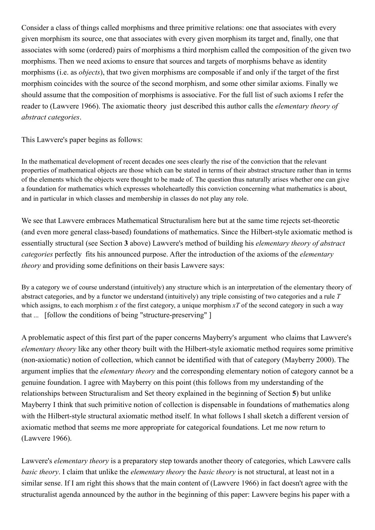Consider a class of things called morphisms and three primitive relations: one that associates with every given morphism its source, one that associates with every given morphism its target and, finally, one that associates with some (ordered) pairs of morphisms a third morphism called the composition of the given two morphisms. Then we need axioms to ensure that sources and targets of morphisms behave as identity morphisms (i.e. as *objects*), that two given morphisms are composable if and only if the target of the first morphism coincides with the source of the second morphism, and some other similar axioms. Finally we should assume that the composition of morphisms is associative. For the full list of such axioms I refer the reader to (Lawvere 1966). The axiomatic theory just described this author calls the *elementary theory of abstract categories*.

This Lawvere's paper begins as follows:

In the mathematical development of recent decades one sees clearly the rise of the conviction that the relevant properties of mathematical objects are those which can be stated in terms of their abstract structure rather than in terms of the elements which the objects were thought to be made of. The question thus naturally arises whether one can give a foundation for mathematics which expresses wholeheartedly this conviction concerning what mathematics is about, and in particular in which classes and membership in classes do not play any role.

We see that Lawvere embraces Mathematical Structuralism here but at the same time rejects set-theoretic (and even more general class-based) foundations of mathematics. Since the Hilbert-style axiomatic method is essentially structural (see Section **3** above) Lawvere's method of building his *elementary theory of abstract categories* perfectly fits his announced purpose. After the introduction of the axioms of the *elementary theory* and providing some definitions on their basis Lawvere says:

By a category we of course understand (intuitively) any structure which is an interpretation of the elementary theory of abstract categories, and by a functor we understand (intuitively) any triple consisting of two categories and a rule *T* which assigns, to each morphism *x* of the first category, a unique morphism  $xT$  of the second category in such a way that ... [follow the conditions of being "structure-preserving" ]

A problematic aspect of this first part of the paper concerns Mayberry's argument who claims that Lawvere's *elementary theory* like any other theory built with the Hilbert-style axiomatic method requires some primitive (non-axiomatic) notion of collection, which cannot be identified with that of category (Mayberry 2000). The argument implies that the *elementary theory* and the corresponding elementary notion of category cannot be a genuine foundation. I agree with Mayberry on this point (this follows from my understanding of the relationships between Structuralism and Set theory explained in the beginning of Section **5**) but unlike Mayberry I think that such primitive notion of collection is dispensable in foundations of mathematics along with the Hilbert-style structural axiomatic method itself. In what follows I shall sketch a different version of axiomatic method that seems me more appropriate for categorical foundations. Let me now return to (Lawvere 1966).

Lawvere's *elementary theory* is a preparatory step towards another theory of categories, which Lawvere calls *basic theory*. I claim that unlike the *elementary theory* the *basic theory* is not structural, at least not in a similar sense. If I am right this shows that the main content of (Lawvere 1966) in fact doesn't agree with the structuralist agenda announced by the author in the beginning of this paper: Lawvere begins his paper with a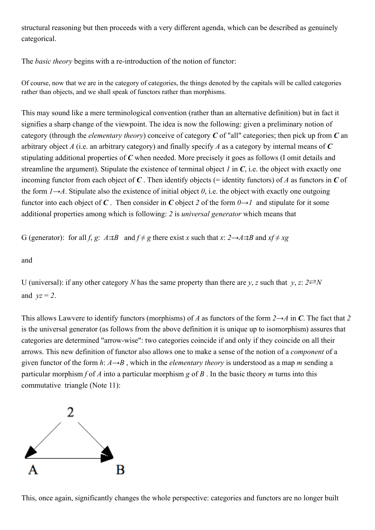structural reasoning but then proceeds with a very different agenda, which can be described as genuinely categorical.

The *basic theory* begins with a re-introduction of the notion of functor:

Of course, now that we are in the category of categories, the things denoted by the capitals will be called categories rather than objects, and we shall speak of functors rather than morphisms.

This may sound like a mere terminological convention (rather than an alternative definition) but in fact it signifies a sharp change of the viewpoint. The idea is now the following: given a preliminary notion of category (through the *elementary theory*) conceive of category *C* of "all" categories; then pick up from *C* an arbitrary object *A* (i.e. an arbitrary category) and finally specify *A* as a category by internal means of *C* stipulating additional properties of *C* when needed. More precisely it goes as follows (I omit details and streamline the argument). Stipulate the existence of terminal object *1* in *C*, i.e. the object with exactly one incoming functor from each object of  $C$ . Then identify objects (= identity functors) of  $A$  as functors in  $C$  of the form  $I \rightarrow A$ . Stipulate also the existence of initial object  $\theta$ , i.e. the object with exactly one outgoing functor into each object of *C*. Then consider in *C* object 2 of the form  $0 \rightarrow 1$  and stipulate for it some additional properties among which is following: *2* is *universal generator* which means that

G (generator): for all *f*, *g*:  $A \Rightarrow B$  and  $f \neq g$  there exist *x* such that *x*:  $2 \rightarrow A \Rightarrow B$  and  $xf \neq xg$ 

and

U (universal): if any other category *N* has the same property than there are  $y$ , *z* such that  $y$ , *z*:  $2 \rightleftharpoons N$ and  $yz = 2$ .

This allows Lawvere to identify functors (morphisms) of *A* as functors of the form  $2 \rightarrow A$  in *C*. The fact that 2 is the universal generator (as follows from the above definition it is unique up to isomorphism) assures that categories are determined "arrow-wise": two categories coincide if and only if they coincide on all their arrows. This new definition of functor also allows one to make a sense of the notion of a *component* of a given functor of the form  $h: A \rightarrow B$ , which in the *elementary theory* is understood as a map *m* sending a particular morphism *f* of *A* into a particular morphism *g* of *B* . In the basic theory *m* turns into this commutative triangle (Note 11):



This, once again, significantly changes the whole perspective: categories and functors are no longer built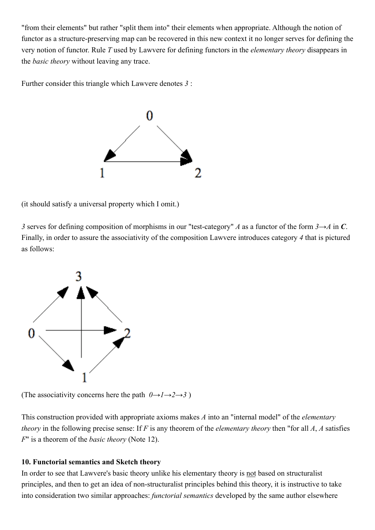"from their elements" but rather "split them into" their elements when appropriate. Although the notion of functor as a structure-preserving map can be recovered in this new context it no longer serves for defining the very notion of functor. Rule *T* used by Lawvere for defining functors in the *elementary theory* disappears in the *basic theory* without leaving any trace.

Further consider this triangle which Lawvere denotes *3* :



(it should satisfy a universal property which I omit.)

*3* serves for defining composition of morphisms in our "test-category" *A* as a functor of the form  $3 \rightarrow A$  in *C*. Finally, in order to assure the associativity of the composition Lawvere introduces category *4* that is pictured as follows:



(The associativity concerns here the path  $0 \rightarrow 1 \rightarrow 2 \rightarrow 3$ )

This construction provided with appropriate axioms makes *A* into an "internal model" of the *elementary theory* in the following precise sense: If *F* is any theorem of the *elementary theory* then "for all *A*, *A* satisfies *F*" is a theorem of the *basic theory* (Note 12).

## **10. Functorial semantics and Sketch theory**

In order to see that Lawvere's basic theory unlike his elementary theory is not based on structuralist principles, and then to get an idea of non-structuralist principles behind this theory, it is instructive to take into consideration two similar approaches: *functorial semantics* developed by the same author elsewhere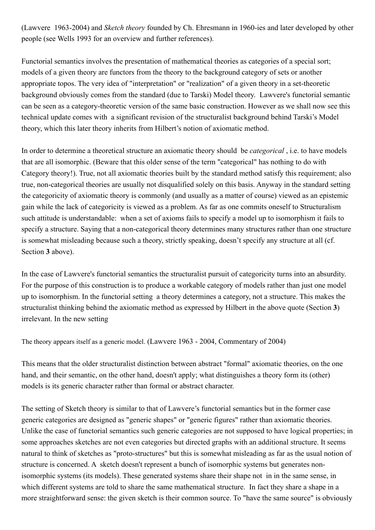(Lawvere 1963-2004) and *Sketch theory* founded by Ch. Ehresmann in 1960-ies and later developed by other people (see Wells 1993 for an overview and further references).

Functorial semantics involves the presentation of mathematical theories as categories of a special sort; models of a given theory are functors from the theory to the background category of sets or another appropriate topos. The very idea of "interpretation" or "realization" of a given theory in a set-theoretic background obviously comes from the standard (due to Tarski) Model theory. Lawvere's functorial semantic can be seen as a category-theoretic version of the same basic construction. However as we shall now see this technical update comes with a significant revision of the structuralist background behind Tarski's Model theory, which this later theory inherits from Hilbert's notion of axiomatic method.

In order to determine a theoretical structure an axiomatic theory should be *categorical* , i.e. to have models that are all isomorphic. (Beware that this older sense of the term "categorical" has nothing to do with Category theory!). True, not all axiomatic theories built by the standard method satisfy this requirement; also true, non-categorical theories are usually not disqualified solely on this basis. Anyway in the standard setting the categoricity of axiomatic theory is commonly (and usually as a matter of course) viewed as an epistemic gain while the lack of categoricity is viewed as a problem. As far as one commits oneself to Structuralism such attitude is understandable: when a set of axioms fails to specify a model up to isomorphism it fails to specify a structure. Saying that a non-categorical theory determines many structures rather than one structure is somewhat misleading because such a theory, strictly speaking, doesn't specify any structure at all (cf. Section **3** above).

In the case of Lawvere's functorial semantics the structuralist pursuit of categoricity turns into an absurdity. For the purpose of this construction is to produce a workable category of models rather than just one model up to isomorphism. In the functorial setting a theory determines a category, not a structure. This makes the structuralist thinking behind the axiomatic method as expressed by Hilbert in the above quote (Section **3**) irrelevant. In the new setting

The theory appears itself as a generic model. (Lawvere 1963 - 2004, Commentary of 2004)

This means that the older structuralist distinction between abstract "formal" axiomatic theories, on the one hand, and their semantic, on the other hand, doesn't apply; what distinguishes a theory form its (other) models is its generic character rather than formal or abstract character.

The setting of Sketch theory is similar to that of Lawvere's functorial semantics but in the former case generic categories are designed as "generic shapes" or "generic figures" rather than axiomatic theories. Unlike the case of functorial semantics such generic categories are not supposed to have logical properties; in some approaches sketches are not even categories but directed graphs with an additional structure. It seems natural to think of sketches as "proto-structures" but this is somewhat misleading as far as the usual notion of structure is concerned. A sketch doesn't represent a bunch of isomorphic systems but generates nonisomorphic systems (its models). These generated systems share their shape not in in the same sense, in which different systems are told to share the same mathematical structure. In fact they share a shape in a more straightforward sense: the given sketch is their common source. To "have the same source" is obviously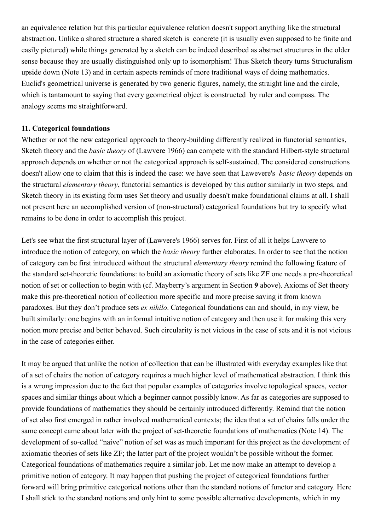an equivalence relation but this particular equivalence relation doesn't support anything like the structural abstraction. Unlike a shared structure a shared sketch is concrete (it is usually even supposed to be finite and easily pictured) while things generated by a sketch can be indeed described as abstract structures in the older sense because they are usually distinguished only up to isomorphism! Thus Sketch theory turns Structuralism upside down (Note 13) and in certain aspects reminds of more traditional ways of doing mathematics. Euclid's geometrical universe is generated by two generic figures, namely, the straight line and the circle, which is tantamount to saying that every geometrical object is constructed by ruler and compass. The analogy seems me straightforward.

# **11. Categorical foundations**

Whether or not the new categorical approach to theory-building differently realized in functorial semantics, Sketch theory and the *basic theory* of (Lawvere 1966) can compete with the standard Hilbert-style structural approach depends on whether or not the categorical approach is self-sustained. The considered constructions doesn't allow one to claim that this is indeed the case: we have seen that Lawevere's *basic theory* depends on the structural *elementary theory*, functorial semantics is developed by this author similarly in two steps, and Sketch theory in its existing form uses Set theory and usually doesn't make foundational claims at all. I shall not present here an accomplished version of (non-structural) categorical foundations but try to specify what remains to be done in order to accomplish this project.

Let's see what the first structural layer of (Lawvere's 1966) serves for. First of all it helps Lawvere to introduce the notion of category, on which the *basic theory* further elaborates. In order to see that the notion of category can be first introduced without the structural *elementary theory* remind the following feature of the standard set-theoretic foundations: to build an axiomatic theory of sets like ZF one needs a pre-theoretical notion of set or collection to begin with (cf. Mayberry's argument in Section **9** above). Axioms of Set theory make this pre-theoretical notion of collection more specific and more precise saving it from known paradoxes. But they don't produce sets *ex nihilo*. Categorical foundations can and should, in my view, be built similarly: one begins with an informal intuitive notion of category and then use it for making this very notion more precise and better behaved. Such circularity is not vicious in the case of sets and it is not vicious in the case of categories either.

It may be argued that unlike the notion of collection that can be illustrated with everyday examples like that of a set of chairs the notion of category requires a much higher level of mathematical abstraction. I think this is a wrong impression due to the fact that popular examples of categories involve topological spaces, vector spaces and similar things about which a beginner cannot possibly know. As far as categories are supposed to provide foundations of mathematics they should be certainly introduced differently. Remind that the notion of set also first emerged in rather involved mathematical contexts; the idea that a set of chairs falls under the same concept came about later with the project of set-theoretic foundations of mathematics (Note 14). The development of so-called "naive" notion of set was as much important for this project as the development of axiomatic theories of sets like ZF; the latter part of the project wouldn't be possible without the former. Categorical foundations of mathematics require a similar job. Let me now make an attempt to develop a primitive notion of category. It may happen that pushing the project of categorical foundations further forward will bring primitive categorical notions other than the standard notions of functor and category. Here I shall stick to the standard notions and only hint to some possible alternative developments, which in my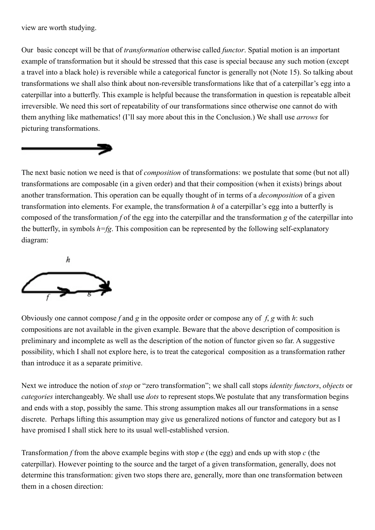view are worth studying.

Our basic concept will be that of *transformation* otherwise called *functor*. Spatial motion is an important example of transformation but it should be stressed that this case is special because any such motion (except a travel into a black hole) is reversible while a categorical functor is generally not (Note 15). So talking about transformations we shall also think about non-reversible transformations like that of a caterpillar's egg into a caterpillar into a butterfly. This example is helpful because the transformation in question is repeatable albeit irreversible. We need this sort of repeatability of our transformations since otherwise one cannot do with them anything like mathematics! (I'll say more about this in the Conclusion.) We shall use *arrows* for picturing transformations.



The next basic notion we need is that of *composition* of transformations: we postulate that some (but not all) transformations are composable (in a given order) and that their composition (when it exists) brings about another transformation. This operation can be equally thought of in terms of a *decomposition* of a given transformation into elements. For example, the transformation *h* of a caterpillar's egg into a butterfly is composed of the transformation *f* of the egg into the caterpillar and the transformation *g* of the caterpillar into the butterfly, in symbols  $h=fg$ . This composition can be represented by the following self-explanatory diagram:



Obviously one cannot compose *f* and *g* in the opposite order or compose any of *f*, *g* with *h*: such compositions are not available in the given example. Beware that the above description of composition is preliminary and incomplete as well as the description of the notion of functor given so far. A suggestive possibility, which I shall not explore here, is to treat the categorical composition as a transformation rather than introduce it as a separate primitive.

Next we introduce the notion of *stop* or "zero transformation"; we shall call stops *identity functors*, *objects* or *categories* interchangeably. We shall use *dots* to represent stops.We postulate that any transformation begins and ends with a stop, possibly the same. This strong assumption makes all our transformations in a sense discrete. Perhaps lifting this assumption may give us generalized notions of functor and category but as I have promised I shall stick here to its usual well-established version.

Transformation *f* from the above example begins with stop *e* (the egg) and ends up with stop *c* (the caterpillar). However pointing to the source and the target of a given transformation, generally, does not determine this transformation: given two stops there are, generally, more than one transformation between them in a chosen direction: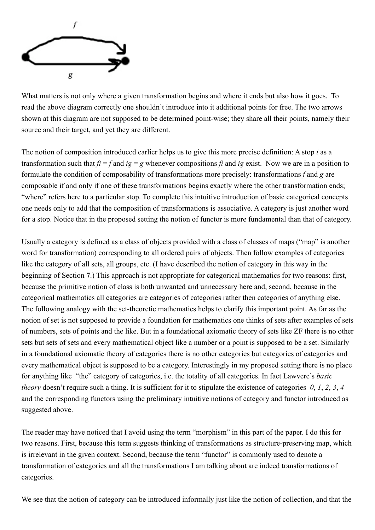

What matters is not only where a given transformation begins and where it ends but also how it goes. To read the above diagram correctly one shouldn't introduce into it additional points for free. The two arrows shown at this diagram are not supposed to be determined point-wise; they share all their points, namely their source and their target, and yet they are different.

The notion of composition introduced earlier helps us to give this more precise definition: A stop *i* as a transformation such that  $f_i = f$  and  $ig = g$  whenever compositions  $f_i$  and  $ig$  exist. Now we are in a position to formulate the condition of composability of transformations more precisely: transformations *f* and *g* are composable if and only if one of these transformations begins exactly where the other transformation ends; "where" refers here to a particular stop. To complete this intuitive introduction of basic categorical concepts one needs only to add that the composition of transformations is associative. A category is just another word for a stop. Notice that in the proposed setting the notion of functor is more fundamental than that of category.

Usually a category is defined as a class of objects provided with a class of classes of maps ("map" is another word for transformation) corresponding to all ordered pairs of objects. Then follow examples of categories like the category of all sets, all groups, etc. (I have described the notion of category in this way in the beginning of Section **7**.) This approach is not appropriate for categorical mathematics for two reasons: first, because the primitive notion of class is both unwanted and unnecessary here and, second, because in the categorical mathematics all categories are categories of categories rather then categories of anything else. The following analogy with the set-theoretic mathematics helps to clarify this important point. As far as the notion of set is not supposed to provide a foundation for mathematics one thinks of sets after examples of sets of numbers, sets of points and the like. But in a foundational axiomatic theory of sets like ZF there is no other sets but sets of sets and every mathematical object like a number or a point is supposed to be a set. Similarly in a foundational axiomatic theory of categories there is no other categories but categories of categories and every mathematical object is supposed to be a category. Interestingly in my proposed setting there is no place for anything like "the" category of categories, i.e. the totality of all categories. In fact Lawvere's *basic theory* doesn't require such a thing. It is sufficient for it to stipulate the existence of categories *0*, *1*, *2*, *3*, *4* and the corresponding functors using the preliminary intuitive notions of category and functor introduced as suggested above.

The reader may have noticed that I avoid using the term "morphism" in this part of the paper. I do this for two reasons. First, because this term suggests thinking of transformations as structure-preserving map, which is irrelevant in the given context. Second, because the term "functor" is commonly used to denote a transformation of categories and all the transformations I am talking about are indeed transformations of categories.

We see that the notion of category can be introduced informally just like the notion of collection, and that the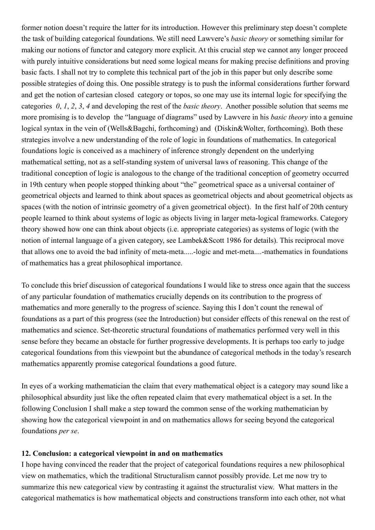former notion doesn't require the latter for its introduction. However this preliminary step doesn't complete the task of building categorical foundations. We still need Lawvere's *basic theory* or something similar for making our notions of functor and category more explicit. At this crucial step we cannot any longer proceed with purely intuitive considerations but need some logical means for making precise definitions and proving basic facts. I shall not try to complete this technical part of the job in this paper but only describe some possible strategies of doing this. One possible strategy is to push the informal considerations further forward and get the notion of cartesian closed category or topos, so one may use its internal logic for specifying the categories *0*, *1*, *2*, *3*, *4* and developing the rest of the *basic theory*. Another possible solution that seems me more promising is to develop the "language of diagrams" used by Lawvere in his *basic theory* into a genuine logical syntax in the vein of (Wells&Bagchi, forthcoming) and (Diskin&Wolter, forthcoming). Both these strategies involve a new understanding of the role of logic in foundations of mathematics. In categorical foundations logic is conceived as a machinery of inference strongly dependent on the underlying mathematical setting, not as a self-standing system of universal laws of reasoning. This change of the traditional conception of logic is analogous to the change of the traditional conception of geometry occurred in 19th century when people stopped thinking about "the" geometrical space as a universal container of geometrical objects and learned to think about spaces as geometrical objects and about geometrical objects as spaces (with the notion of intrinsic geometry of a given geometrical object). In the first half of 20th century people learned to think about systems of logic as objects living in larger meta-logical frameworks. Category theory showed how one can think about objects (i.e. appropriate categories) as systems of logic (with the notion of internal language of a given category, see Lambek&Scott 1986 for details). This reciprocal move that allows one to avoid the bad infinity of meta-meta.....-logic and met-meta....-mathematics in foundations of mathematics has a great philosophical importance.

To conclude this brief discussion of categorical foundations I would like to stress once again that the success of any particular foundation of mathematics crucially depends on its contribution to the progress of mathematics and more generally to the progress of science. Saying this I don't count the renewal of foundations as a part of this progress (see the Introduction) but consider effects of this renewal on the rest of mathematics and science. Set-theoretic structural foundations of mathematics performed very well in this sense before they became an obstacle for further progressive developments. It is perhaps too early to judge categorical foundations from this viewpoint but the abundance of categorical methods in the today's research mathematics apparently promise categorical foundations a good future.

In eyes of a working mathematician the claim that every mathematical object is a category may sound like a philosophical absurdity just like the often repeated claim that every mathematical object is a set. In the following Conclusion I shall make a step toward the common sense of the working mathematician by showing how the categorical viewpoint in and on mathematics allows for seeing beyond the categorical foundations *per se*.

#### **12. Conclusion: a categorical viewpoint in and on mathematics**

I hope having convinced the reader that the project of categorical foundations requires a new philosophical view on mathematics, which the traditional Structuralism cannot possibly provide. Let me now try to summarize this new categorical view by contrasting it against the structuralist view. What matters in the categorical mathematics is how mathematical objects and constructions transform into each other, not what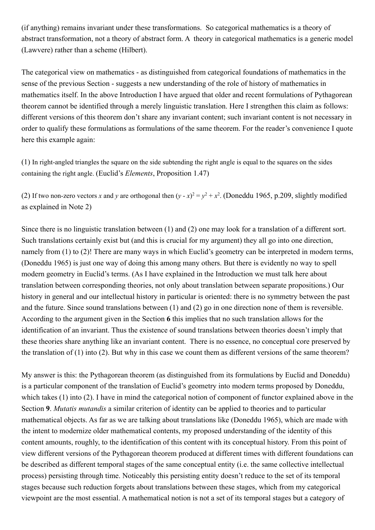(if anything) remains invariant under these transformations. So categorical mathematics is a theory of abstract transformation, not a theory of abstract form. A theory in categorical mathematics is a generic model (Lawvere) rather than a scheme (Hilbert).

The categorical view on mathematics - as distinguished from categorical foundations of mathematics in the sense of the previous Section - suggests a new understanding of the role of history of mathematics in mathematics itself. In the above Introduction I have argued that older and recent formulations of Pythagorean theorem cannot be identified through a merely linguistic translation. Here I strengthen this claim as follows: different versions of this theorem don't share any invariant content; such invariant content is not necessary in order to qualify these formulations as formulations of the same theorem. For the reader's convenience I quote here this example again:

(1) In right-angled triangles the square on the side subtending the right angle is equal to the squares on the sides containing the right angle. (Euclid's *Elements*, Proposition 1.47)

(2) If two non-zero vectors *x* and *y* are orthogonal then  $(y - x)^2 = y^2 + x^2$ . (Doneddu 1965, p.209, slightly modified as explained in Note 2)

Since there is no linguistic translation between (1) and (2) one may look for a translation of a different sort. Such translations certainly exist but (and this is crucial for my argument) they all go into one direction, namely from (1) to (2)! There are many ways in which Euclid's geometry can be interpreted in modern terms, (Doneddu 1965) is just one way of doing this among many others. But there is evidently no way to spell modern geometry in Euclid's terms. (As I have explained in the Introduction we must talk here about translation between corresponding theories, not only about translation between separate propositions.) Our history in general and our intellectual history in particular is oriented: there is no symmetry between the past and the future. Since sound translations between (1) and (2) go in one direction none of them is reversible. According to the argument given in the Section **6** this implies that no such translation allows for the identification of an invariant. Thus the existence of sound translations between theories doesn't imply that these theories share anything like an invariant content. There is no essence, no conceptual core preserved by the translation of (1) into (2). But why in this case we count them as different versions of the same theorem?

My answer is this: the Pythagorean theorem (as distinguished from its formulations by Euclid and Doneddu) is a particular component of the translation of Euclid's geometry into modern terms proposed by Doneddu, which takes (1) into (2). I have in mind the categorical notion of component of functor explained above in the Section **9**. *Mutatis mutandis* a similar criterion of identity can be applied to theories and to particular mathematical objects. As far as we are talking about translations like (Doneddu 1965), which are made with the intent to modernize older mathematical contents, my proposed understanding of the identity of this content amounts, roughly, to the identification of this content with its conceptual history. From this point of view different versions of the Pythagorean theorem produced at different times with different foundations can be described as different temporal stages of the same conceptual entity (i.e. the same collective intellectual process) persisting through time. Noticeably this persisting entity doesn't reduce to the set of its temporal stages because such reduction forgets about translations between these stages, which from my categorical viewpoint are the most essential. A mathematical notion is not a set of its temporal stages but a category of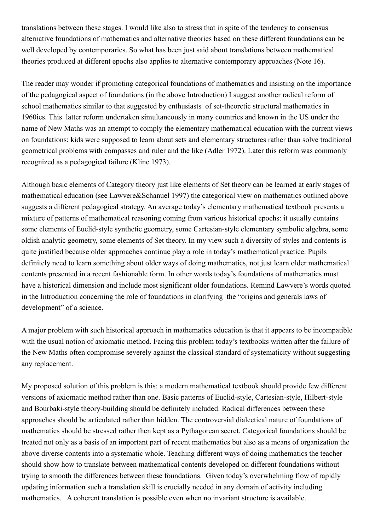translations between these stages. I would like also to stress that in spite of the tendency to consensus alternative foundations of mathematics and alternative theories based on these different foundations can be well developed by contemporaries. So what has been just said about translations between mathematical theories produced at different epochs also applies to alternative contemporary approaches (Note 16).

The reader may wonder if promoting categorical foundations of mathematics and insisting on the importance of the pedagogical aspect of foundations (in the above Introduction) I suggest another radical reform of school mathematics similar to that suggested by enthusiasts of set-theoretic structural mathematics in 1960ies. This latter reform undertaken simultaneously in many countries and known in the US under the name of New Maths was an attempt to comply the elementary mathematical education with the current views on foundations: kids were supposed to learn about sets and elementary structures rather than solve traditional geometrical problems with compasses and ruler and the like (Adler 1972). Later this reform was commonly recognized as a pedagogical failure (Kline 1973).

Although basic elements of Category theory just like elements of Set theory can be learned at early stages of mathematical education (see Lawvere&Schanuel 1997) the categorical view on mathematics outlined above suggests a different pedagogical strategy. An average today's elementary mathematical textbook presents a mixture of patterns of mathematical reasoning coming from various historical epochs: it usually contains some elements of Euclid-style synthetic geometry, some Cartesian-style elementary symbolic algebra, some oldish analytic geometry, some elements of Set theory. In my view such a diversity of styles and contents is quite justified because older approaches continue play a role in today's mathematical practice. Pupils definitely need to learn something about older ways of doing mathematics, not just learn older mathematical contents presented in a recent fashionable form. In other words today's foundations of mathematics must have a historical dimension and include most significant older foundations. Remind Lawvere's words quoted in the Introduction concerning the role of foundations in clarifying the "origins and generals laws of development" of a science.

A major problem with such historical approach in mathematics education is that it appears to be incompatible with the usual notion of axiomatic method. Facing this problem today's textbooks written after the failure of the New Maths often compromise severely against the classical standard of systematicity without suggesting any replacement.

My proposed solution of this problem is this: a modern mathematical textbook should provide few different versions of axiomatic method rather than one. Basic patterns of Euclid-style, Cartesian-style, Hilbert-style and Bourbaki-style theory-building should be definitely included. Radical differences between these approaches should be articulated rather than hidden. The controversial dialectical nature of foundations of mathematics should be stressed rather then kept as a Pythagorean secret. Categorical foundations should be treated not only as a basis of an important part of recent mathematics but also as a means of organization the above diverse contents into a systematic whole. Teaching different ways of doing mathematics the teacher should show how to translate between mathematical contents developed on different foundations without trying to smooth the differences between these foundations. Given today's overwhelming flow of rapidly updating information such a translation skill is crucially needed in any domain of activity including mathematics. A coherent translation is possible even when no invariant structure is available.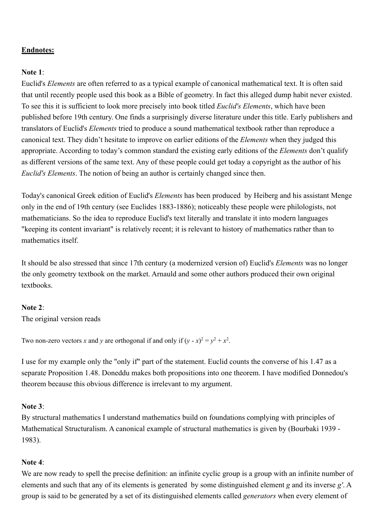# **Endnotes:**

# **Note 1**:

Euclid's *Elements* are often referred to as a typical example of canonical mathematical text. It is often said that until recently people used this book as a Bible of geometry. In fact this alleged dump habit never existed. To see this it is sufficient to look more precisely into book titled *Euclid's Elements*, which have been published before 19th century. One finds a surprisingly diverse literature under this title. Early publishers and translators of Euclid's *Elements* tried to produce a sound mathematical textbook rather than reproduce a canonical text. They didn't hesitate to improve on earlier editions of the *Elements* when they judged this appropriate. According to today's common standard the existing early editions of the *Elements* don't qualify as different versions of the same text. Any of these people could get today a copyright as the author of his *Euclid's Elements*. The notion of being an author is certainly changed since then.

Today's canonical Greek edition of Euclid's *Elements* has been produced by Heiberg and his assistant Menge only in the end of 19th century (see Euclides 1883-1886); noticeably these people were philologists, not mathematicians. So the idea to reproduce Euclid's text literally and translate it into modern languages "keeping its content invariant" is relatively recent; it is relevant to history of mathematics rather than to mathematics itself.

It should be also stressed that since 17th century (a modernized version of) Euclid's *Elements* was no longer the only geometry textbook on the market. Arnauld and some other authors produced their own original textbooks.

# **Note 2**:

The original version reads

Two non-zero vectors *x* and *y* are orthogonal if and only if  $(y - x)^2 = y^2 + x^2$ .

I use for my example only the "only if" part of the statement. Euclid counts the converse of his 1.47 as a separate Proposition 1.48. Doneddu makes both propositions into one theorem. I have modified Donnedou's theorem because this obvious difference is irrelevant to my argument.

## **Note 3**:

By structural mathematics I understand mathematics build on foundations complying with principles of Mathematical Structuralism. A canonical example of structural mathematics is given by (Bourbaki 1939 - 1983).

## **Note 4**:

We are now ready to spell the precise definition: an infinite cyclic group is a group with an infinite number of elements and such that any of its elements is generated by some distinguished element *g* and its inverse *g'*. A group is said to be generated by a set of its distinguished elements called *generators* when every element of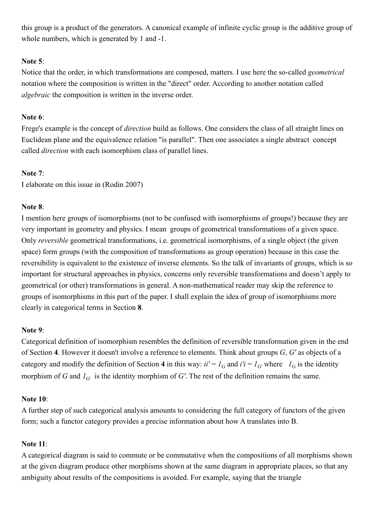this group is a product of the generators. A canonical example of infinite cyclic group is the additive group of whole numbers, which is generated by 1 and -1.

# **Note 5**:

Notice that the order, in which transformations are composed, matters. I use here the so-called *geometrical*  notation where the composition is written in the "direct" order. According to another notation called *algebraic* the composition is written in the inverse order.

#### **Note 6**:

Frege's example is the concept of *direction* build as follows. One considers the class of all straight lines on Euclidean plane and the equivalence relation "is parallel". Then one associates a single abstract concept called *direction* with each isomorphism class of parallel lines.

#### **Note 7**:

I elaborate on this issue in (Rodin 2007)

#### **Note 8**:

I mention here groups of isomorphisms (not to be confused with isomorphisms of groups!) because they are very important in geometry and physics. I mean groups of geometrical transformations of a given space. Only *reversible* geometrical transformations, i.e. geometrical isomorphisms, of a single object (the given space) form groups (with the composition of transformations as group operation) because in this case the reversibility is equivalent to the existence of inverse elements. So the talk of invariants of groups, which is so important for structural approaches in physics, concerns only reversible transformations and doesn't apply to geometrical (or other) transformations in general. A non-mathematical reader may skip the reference to groups of isomorphisms in this part of the paper. I shall explain the idea of group of isomorphisms more clearly in categorical terms in Section **8**.

## **Note 9**:

Categorical definition of isomorphism resembles the definition of reversible transformation given in the end of Section **4**. However it doesn't involve a reference to elements. Think about groups *G*, *G'* as objects of a category and modify the definition of Section 4 in this way:  $ii' = I_G$  and  $i'i = I_G$ ' where  $I_G$  is the identity morphism of *G* and  $I_G$ ' is the identity morphism of *G'*. The rest of the definition remains the same.

#### **Note 10**:

A further step of such categorical analysis amounts to considering the full category of functors of the given form; such a functor category provides a precise information about how A translates into B.

#### **Note 11**:

A categorical diagram is said to commute or be commutative when the compositions of all morphisms shown at the given diagram produce other morphisms shown at the same diagram in appropriate places, so that any ambiguity about results of the compositions is avoided. For example, saying that the triangle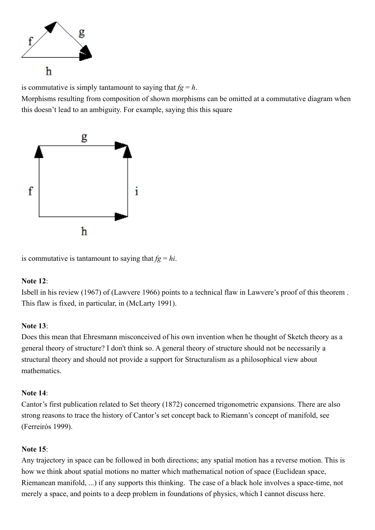

is commutative is simply tantamount to saying that  $f_g = h$ .

Morphisms resulting from composition of shown morphisms can be omitted at a commutative diagram when this doesn't lead to an ambiguity. For example, saying this this square



is commutative is tantamount to saying that  $fg = hi$ .

## **Note 12**:

Isbell in his review (1967) of (Lawvere 1966) points to a technical flaw in Lawvere's proof of this theorem . This flaw is fixed, in particular, in (McLarty 1991).

## **Note 13**:

Does this mean that Ehresmann misconceived of his own invention when he thought of Sketch theory as a general theory of structure? I don't think so. A general theory of structure should not be necessarily a structural theory and should not provide a support for Structuralism as a philosophical view about mathematics.

## **Note 14**:

Cantor's first publication related to Set theory (1872) concerned trigonometric expansions. There are also strong reasons to trace the history of Cantor's set concept back to Riemann's concept of manifold, see (Ferreirós 1999).

## **Note 15**:

Any trajectory in space can be followed in both directions; any spatial motion has a reverse motion. This is how we think about spatial motions no matter which mathematical notion of space (Euclidean space, Riemanean manifold, ...) if any supports this thinking. The case of a black hole involves a space-time, not merely a space, and points to a deep problem in foundations of physics, which I cannot discuss here.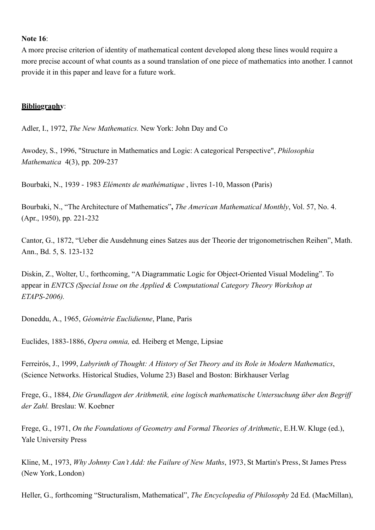#### **Note 16**:

A more precise criterion of identity of mathematical content developed along these lines would require a more precise account of what counts as a sound translation of one piece of mathematics into another. I cannot provide it in this paper and leave for a future work.

#### **Bibliography**:

Adler, I., 1972, *The New Mathematics.* New York: John Day and Co

Awodey, S., 1996, "Structure in Mathematics and Logic: A categorical Perspective", *Philosophia Mathematica* 4(3), pp. 209-237

Bourbaki, N., 1939 - 1983 *Eléments de mathématique* , livres 1-10, Masson (Paris)

Bourbaki, N., "The Architecture of Mathematics"**,** *The American Mathematical Monthly*, Vol. 57, No. 4. (Apr., 1950), pp. 221-232

Cantor, G., 1872, "Ueber die Ausdehnung eines Satzes aus der Theorie der trigonometrischen Reihen", Math. Ann., Bd. 5, S. 123-132

Diskin, Z., Wolter, U., forthcoming, "A Diagrammatic Logic for Object-Oriented Visual Modeling". To appear in *ENTCS (Special Issue on the Applied & Computational Category Theory Workshop at ETAPS-2006).* 

Doneddu, A., 1965, *Géométrie Euclidienne*, Plane, Paris

Euclides, 1883-1886, *Opera omnia,* ed. Heiberg et Menge, Lipsiae

Ferreirós, J., 1999, *Labyrinth of Thought: A History of Set Theory and its Role in Modern Mathematics*, (Science Networks. Historical Studies, Volume 23) Basel and Boston: Birkhauser Verlag

Frege, G., 1884, *Die Grundlagen der Arithmetik, eine logisch mathematische Untersuchung über den Begriff der Zahl.* Breslau: W. Koebner

Frege, G., 1971, *On the Foundations of Geometry and Formal Theories of Arithmetic*, E.H.W. Kluge (ed.), Yale University Press

Kline, M., 1973, *Why Johnny Can't Add: the Failure of New Maths*, 1973, St Martin's Press, St James Press (New York, London)

Heller, G., forthcoming "Structuralism, Mathematical", *The Encyclopedia of Philosophy* 2d Ed. (MacMillan),